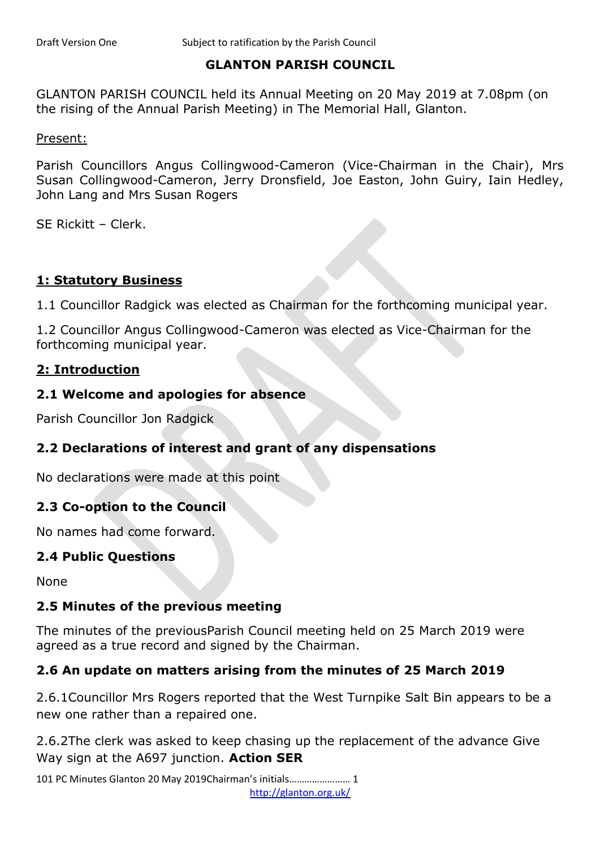## **GLANTON PARISH COUNCIL**

GLANTON PARISH COUNCIL held its Annual Meeting on 20 May 2019 at 7.08pm (on the rising of the Annual Parish Meeting) in The Memorial Hall, Glanton.

Present:

Parish Councillors Angus Collingwood-Cameron (Vice-Chairman in the Chair), Mrs Susan Collingwood-Cameron, Jerry Dronsfield, Joe Easton, John Guiry, Iain Hedley, John Lang and Mrs Susan Rogers

SE Rickitt – Clerk.

## **1: Statutory Business**

1.1 Councillor Radgick was elected as Chairman for the forthcoming municipal year.

1.2 Councillor Angus Collingwood-Cameron was elected as Vice-Chairman for the forthcoming municipal year.

## **2: Introduction**

#### **2.1 Welcome and apologies for absence**

Parish Councillor Jon Radgick

## **2.2 Declarations of interest and grant of any dispensations**

No declarations were made at this point

## **2.3 Co-option to the Council**

No names had come forward.

## **2.4 Public Questions**

None

## **2.5 Minutes of the previous meeting**

The minutes of the previousParish Council meeting held on 25 March 2019 were agreed as a true record and signed by the Chairman.

## **2.6 An update on matters arising from the minutes of 25 March 2019**

2.6.1Councillor Mrs Rogers reported that the West Turnpike Salt Bin appears to be a new one rather than a repaired one.

2.6.2The clerk was asked to keep chasing up the replacement of the advance Give Way sign at the A697 junction. **Action SER**

101 PC Minutes Glanton 20 May 2019Chairman's initials…………………… 1 http://glanton.org.uk/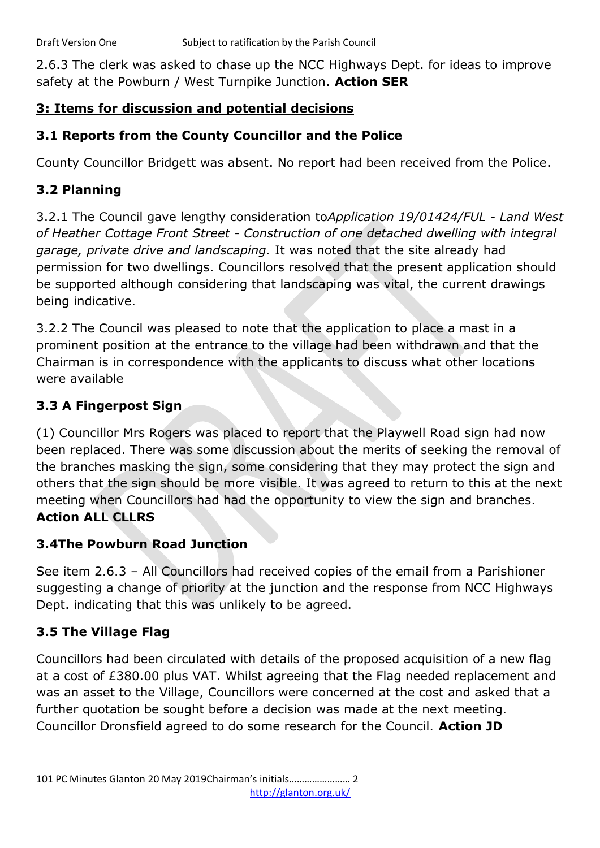2.6.3 The clerk was asked to chase up the NCC Highways Dept. for ideas to improve safety at the Powburn / West Turnpike Junction. **Action SER**

# **3: Items for discussion and potential decisions**

# **3.1 Reports from the County Councillor and the Police**

County Councillor Bridgett was absent. No report had been received from the Police.

# **3.2 Planning**

3.2.1 The Council gave lengthy consideration to*Application 19/01424/FUL - Land West of Heather Cottage Front Street - Construction of one detached dwelling with integral garage, private drive and landscaping.* It was noted that the site already had permission for two dwellings. Councillors resolved that the present application should be supported although considering that landscaping was vital, the current drawings being indicative.

3.2.2 The Council was pleased to note that the application to place a mast in a prominent position at the entrance to the village had been withdrawn and that the Chairman is in correspondence with the applicants to discuss what other locations were available

# **3.3 A Fingerpost Sign**

(1) Councillor Mrs Rogers was placed to report that the Playwell Road sign had now been replaced. There was some discussion about the merits of seeking the removal of the branches masking the sign, some considering that they may protect the sign and others that the sign should be more visible. It was agreed to return to this at the next meeting when Councillors had had the opportunity to view the sign and branches. **Action ALL CLLRS** 

## **3.4The Powburn Road Junction**

See item 2.6.3 – All Councillors had received copies of the email from a Parishioner suggesting a change of priority at the junction and the response from NCC Highways Dept. indicating that this was unlikely to be agreed.

# **3.5 The Village Flag**

Councillors had been circulated with details of the proposed acquisition of a new flag at a cost of £380.00 plus VAT. Whilst agreeing that the Flag needed replacement and was an asset to the Village, Councillors were concerned at the cost and asked that a further quotation be sought before a decision was made at the next meeting. Councillor Dronsfield agreed to do some research for the Council. **Action JD**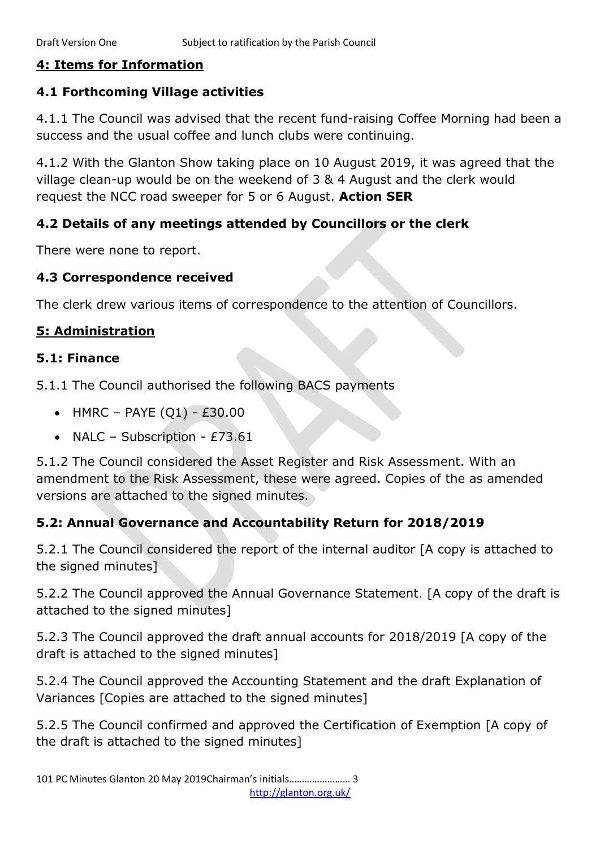## **4: Items for Information**

# **4.1 Forthcoming Village activities**

4.1.1 The Council was advised that the recent fund-raising Coffee Morning had been a success and the usual coffee and lunch clubs were continuing.

4.1.2 With the Glanton Show taking place on 10 August 2019, it was agreed that the village clean-up would be on the weekend of 3 & 4 August and the clerk would request the NCC road sweeper for 5 or 6 August. **Action SER**

## **4.2 Details of any meetings attended by Councillors or the clerk**

There were none to report.

## **4.3 Correspondence received**

The clerk drew various items of correspondence to the attention of Councillors.

## **5: Administration**

## **5.1: Finance**

5.1.1 The Council authorised the following BACS payments

- HMRC PAYE  $(Q1)$  £30.00
- NALC Subscription £73.61

5.1.2 The Council considered the Asset Register and Risk Assessment. With an amendment to the Risk Assessment, these were agreed. Copies of the as amended versions are attached to the signed minutes.

## **5.2: Annual Governance and Accountability Return for 2018/2019**

5.2.1 The Council considered the report of the internal auditor [A copy is attached to the signed minutes]

5.2.2 The Council approved the Annual Governance Statement. [A copy of the draft is attached to the signed minutes]

5.2.3 The Council approved the draft annual accounts for 2018/2019 [A copy of the draft is attached to the signed minutes]

5.2.4 The Council approved the Accounting Statement and the draft Explanation of Variances [Copies are attached to the signed minutes]

5.2.5 The Council confirmed and approved the Certification of Exemption [A copy of the draft is attached to the signed minutes]